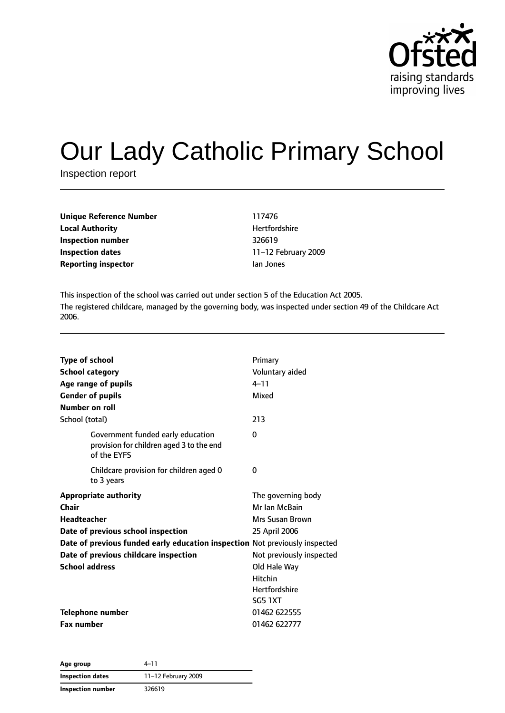

# Our Lady Catholic Primary School

Inspection report

| Unique Reference Number    | 117476           |
|----------------------------|------------------|
| <b>Local Authority</b>     | <b>Hertfords</b> |
| Inspection number          | 326619           |
| Inspection dates           | 11-12 Fel        |
| <b>Reporting inspector</b> | lan Jones        |

**Hertfordshire Inspection dates** 11–12 February 2009

This inspection of the school was carried out under section 5 of the Education Act 2005. The registered childcare, managed by the governing body, was inspected under section 49 of the Childcare Act 2006.

| Type of school<br><b>School category</b><br>Age range of pupils<br><b>Gender of pupils</b><br>Number on roll                                                                                                                                       | Primary<br>Voluntary aided<br>$4 - 11$<br>Mixed                                                                                                                                 |
|----------------------------------------------------------------------------------------------------------------------------------------------------------------------------------------------------------------------------------------------------|---------------------------------------------------------------------------------------------------------------------------------------------------------------------------------|
| School (total)                                                                                                                                                                                                                                     | 213                                                                                                                                                                             |
| Government funded early education<br>provision for children aged 3 to the end<br>of the EYFS                                                                                                                                                       | 0                                                                                                                                                                               |
| Childcare provision for children aged 0<br>to 3 years                                                                                                                                                                                              | 0                                                                                                                                                                               |
| <b>Appropriate authority</b><br>Chair<br><b>Headteacher</b><br>Date of previous school inspection<br>Date of previous funded early education inspection Not previously inspected<br>Date of previous childcare inspection<br><b>School address</b> | The governing body<br>Mr Ian McBain<br><b>Mrs Susan Brown</b><br>25 April 2006<br>Not previously inspected<br>Old Hale Way<br><b>Hitchin</b><br><b>Hertfordshire</b><br>SG5 1XT |
| <b>Telephone number</b><br><b>Fax number</b>                                                                                                                                                                                                       | 01462 622555<br>01462 622777                                                                                                                                                    |

**Age group** 4–11 **Inspection dates** 11–12 February 2009 **Inspection number** 326619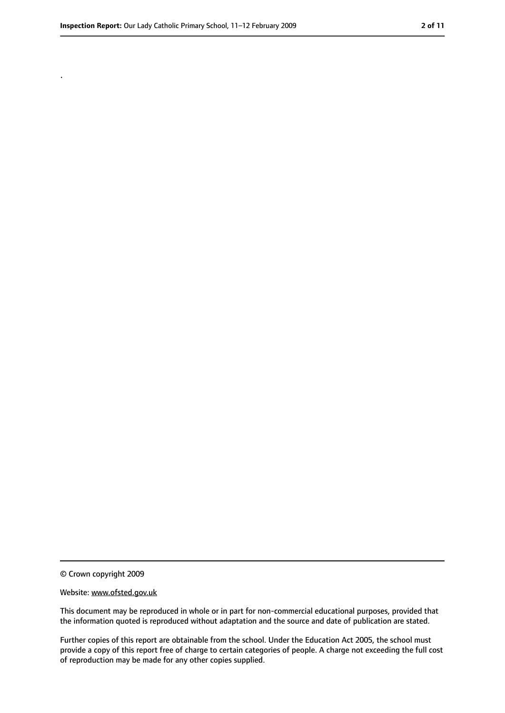.

<sup>©</sup> Crown copyright 2009

Website: www.ofsted.gov.uk

This document may be reproduced in whole or in part for non-commercial educational purposes, provided that the information quoted is reproduced without adaptation and the source and date of publication are stated.

Further copies of this report are obtainable from the school. Under the Education Act 2005, the school must provide a copy of this report free of charge to certain categories of people. A charge not exceeding the full cost of reproduction may be made for any other copies supplied.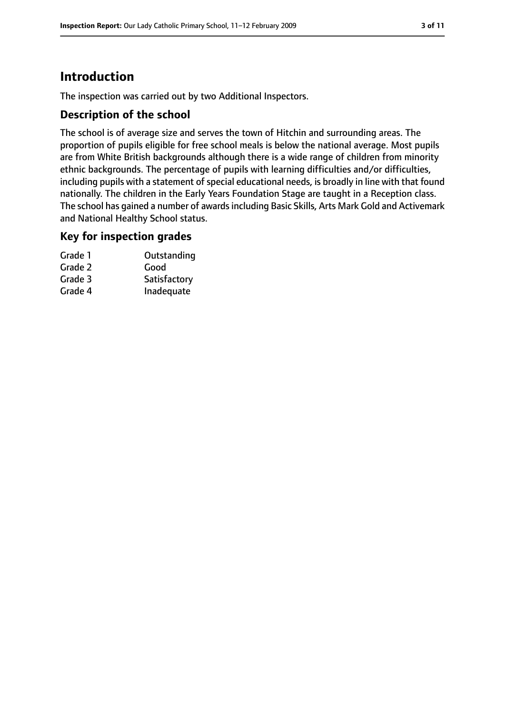# **Introduction**

The inspection was carried out by two Additional Inspectors.

## **Description of the school**

The school is of average size and serves the town of Hitchin and surrounding areas. The proportion of pupils eligible for free school meals is below the national average. Most pupils are from White British backgrounds although there is a wide range of children from minority ethnic backgrounds. The percentage of pupils with learning difficulties and/or difficulties, including pupils with a statement of special educational needs, is broadly in line with that found nationally. The children in the Early Years Foundation Stage are taught in a Reception class. The school has gained a number of awardsincluding Basic Skills, Arts Mark Gold and Activemark and National Healthy School status.

#### **Key for inspection grades**

| Grade 1 | Outstanding  |
|---------|--------------|
| Grade 2 | Good         |
| Grade 3 | Satisfactory |
| Grade 4 | Inadequate   |
|         |              |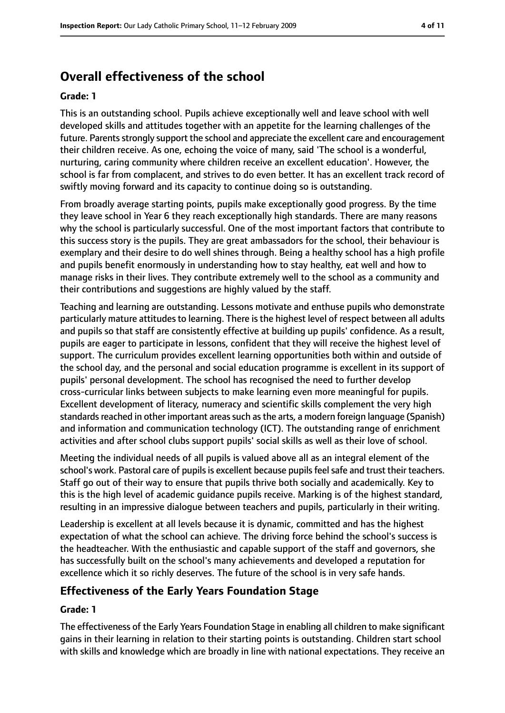# **Overall effectiveness of the school**

#### **Grade: 1**

This is an outstanding school. Pupils achieve exceptionally well and leave school with well developed skills and attitudes together with an appetite for the learning challenges of the future. Parents strongly support the school and appreciate the excellent care and encouragement their children receive. As one, echoing the voice of many, said 'The school is a wonderful, nurturing, caring community where children receive an excellent education'. However, the school is far from complacent, and strives to do even better. It has an excellent track record of swiftly moving forward and its capacity to continue doing so is outstanding.

From broadly average starting points, pupils make exceptionally good progress. By the time they leave school in Year 6 they reach exceptionally high standards. There are many reasons why the school is particularly successful. One of the most important factors that contribute to this success story is the pupils. They are great ambassadors for the school, their behaviour is exemplary and their desire to do well shines through. Being a healthy school has a high profile and pupils benefit enormously in understanding how to stay healthy, eat well and how to manage risks in their lives. They contribute extremely well to the school as a community and their contributions and suggestions are highly valued by the staff.

Teaching and learning are outstanding. Lessons motivate and enthuse pupils who demonstrate particularly mature attitudes to learning. There is the highest level of respect between all adults and pupils so that staff are consistently effective at building up pupils' confidence. As a result, pupils are eager to participate in lessons, confident that they will receive the highest level of support. The curriculum provides excellent learning opportunities both within and outside of the school day, and the personal and social education programme is excellent in its support of pupils' personal development. The school has recognised the need to further develop cross-curricular links between subjects to make learning even more meaningful for pupils. Excellent development of literacy, numeracy and scientific skills complement the very high standards reached in other important areas such as the arts, a modern foreign language (Spanish) and information and communication technology (ICT). The outstanding range of enrichment activities and after school clubs support pupils' social skills as well as their love of school.

Meeting the individual needs of all pupils is valued above all as an integral element of the school's work. Pastoral care of pupils is excellent because pupils feel safe and trust their teachers. Staff go out of their way to ensure that pupils thrive both socially and academically. Key to this is the high level of academic guidance pupils receive. Marking is of the highest standard, resulting in an impressive dialogue between teachers and pupils, particularly in their writing.

Leadership is excellent at all levels because it is dynamic, committed and has the highest expectation of what the school can achieve. The driving force behind the school's success is the headteacher. With the enthusiastic and capable support of the staff and governors, she has successfully built on the school's many achievements and developed a reputation for excellence which it so richly deserves. The future of the school is in very safe hands.

## **Effectiveness of the Early Years Foundation Stage**

#### **Grade: 1**

The effectiveness of the Early Years Foundation Stage in enabling all children to make significant gains in their learning in relation to their starting points is outstanding. Children start school with skills and knowledge which are broadly in line with national expectations. They receive an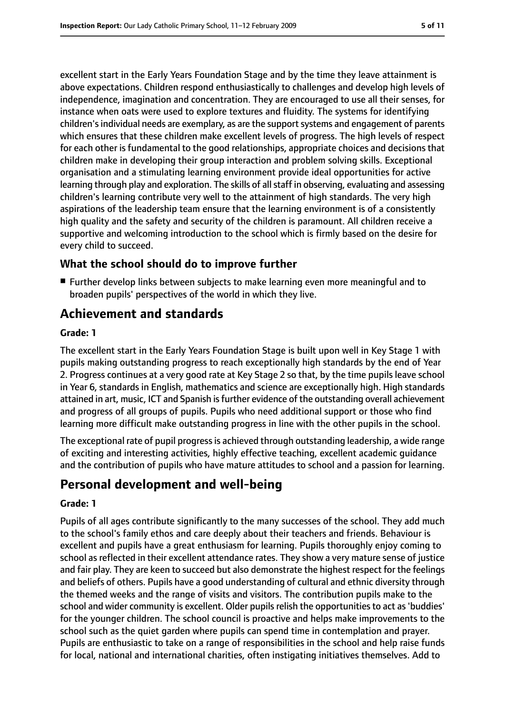excellent start in the Early Years Foundation Stage and by the time they leave attainment is above expectations. Children respond enthusiastically to challenges and develop high levels of independence, imagination and concentration. They are encouraged to use all their senses, for instance when oats were used to explore textures and fluidity. The systems for identifying children's individual needs are exemplary, as are the support systems and engagement of parents which ensures that these children make excellent levels of progress. The high levels of respect for each other is fundamental to the good relationships, appropriate choices and decisions that children make in developing their group interaction and problem solving skills. Exceptional organisation and a stimulating learning environment provide ideal opportunities for active learning through play and exploration. The skills of all staff in observing, evaluating and assessing children's learning contribute very well to the attainment of high standards. The very high aspirations of the leadership team ensure that the learning environment is of a consistently high quality and the safety and security of the children is paramount. All children receive a supportive and welcoming introduction to the school which is firmly based on the desire for every child to succeed.

## **What the school should do to improve further**

■ Further develop links between subjects to make learning even more meaningful and to broaden pupils' perspectives of the world in which they live.

# **Achievement and standards**

#### **Grade: 1**

The excellent start in the Early Years Foundation Stage is built upon well in Key Stage 1 with pupils making outstanding progress to reach exceptionally high standards by the end of Year 2. Progress continues at a very good rate at Key Stage 2 so that, by the time pupils leave school in Year 6, standards in English, mathematics and science are exceptionally high. High standards attained in art, music, ICT and Spanish isfurther evidence of the outstanding overall achievement and progress of all groups of pupils. Pupils who need additional support or those who find learning more difficult make outstanding progress in line with the other pupils in the school.

The exceptional rate of pupil progressis achieved through outstanding leadership, a wide range of exciting and interesting activities, highly effective teaching, excellent academic guidance and the contribution of pupils who have mature attitudes to school and a passion for learning.

# **Personal development and well-being**

#### **Grade: 1**

Pupils of all ages contribute significantly to the many successes of the school. They add much to the school's family ethos and care deeply about their teachers and friends. Behaviour is excellent and pupils have a great enthusiasm for learning. Pupils thoroughly enjoy coming to school as reflected in their excellent attendance rates. They show a very mature sense of justice and fair play. They are keen to succeed but also demonstrate the highest respect for the feelings and beliefs of others. Pupils have a good understanding of cultural and ethnic diversity through the themed weeks and the range of visits and visitors. The contribution pupils make to the school and wider community is excellent. Older pupils relish the opportunities to act as 'buddies' for the younger children. The school council is proactive and helps make improvements to the school such as the quiet garden where pupils can spend time in contemplation and prayer. Pupils are enthusiastic to take on a range of responsibilities in the school and help raise funds for local, national and international charities, often instigating initiatives themselves. Add to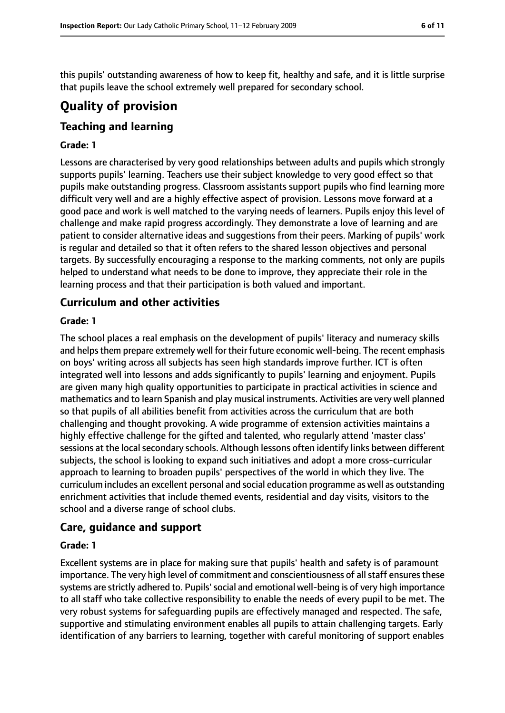this pupils' outstanding awareness of how to keep fit, healthy and safe, and it is little surprise that pupils leave the school extremely well prepared for secondary school.

# **Quality of provision**

## **Teaching and learning**

#### **Grade: 1**

Lessons are characterised by very good relationships between adults and pupils which strongly supports pupils' learning. Teachers use their subject knowledge to very good effect so that pupils make outstanding progress. Classroom assistants support pupils who find learning more difficult very well and are a highly effective aspect of provision. Lessons move forward at a good pace and work is well matched to the varying needs of learners. Pupils enjoy this level of challenge and make rapid progress accordingly. They demonstrate a love of learning and are patient to consider alternative ideas and suggestions from their peers. Marking of pupils' work is regular and detailed so that it often refers to the shared lesson objectives and personal targets. By successfully encouraging a response to the marking comments, not only are pupils helped to understand what needs to be done to improve, they appreciate their role in the learning process and that their participation is both valued and important.

## **Curriculum and other activities**

#### **Grade: 1**

The school places a real emphasis on the development of pupils' literacy and numeracy skills and helps them prepare extremely well for their future economic well-being. The recent emphasis on boys' writing across all subjects has seen high standards improve further. ICT is often integrated well into lessons and adds significantly to pupils' learning and enjoyment. Pupils are given many high quality opportunities to participate in practical activities in science and mathematics and to learn Spanish and play musical instruments. Activities are very well planned so that pupils of all abilities benefit from activities across the curriculum that are both challenging and thought provoking. A wide programme of extension activities maintains a highly effective challenge for the gifted and talented, who regularly attend 'master class' sessions at the local secondary schools. Although lessons often identify links between different subjects, the school is looking to expand such initiatives and adopt a more cross-curricular approach to learning to broaden pupils' perspectives of the world in which they live. The curriculum includes an excellent personal and social education programme as well as outstanding enrichment activities that include themed events, residential and day visits, visitors to the school and a diverse range of school clubs.

#### **Care, guidance and support**

#### **Grade: 1**

Excellent systems are in place for making sure that pupils' health and safety is of paramount importance. The very high level of commitment and conscientiousness of all staff ensures these systems are strictly adhered to. Pupils' social and emotional well-being is of very high importance to all staff who take collective responsibility to enable the needs of every pupil to be met. The very robust systems for safeguarding pupils are effectively managed and respected. The safe, supportive and stimulating environment enables all pupils to attain challenging targets. Early identification of any barriers to learning, together with careful monitoring of support enables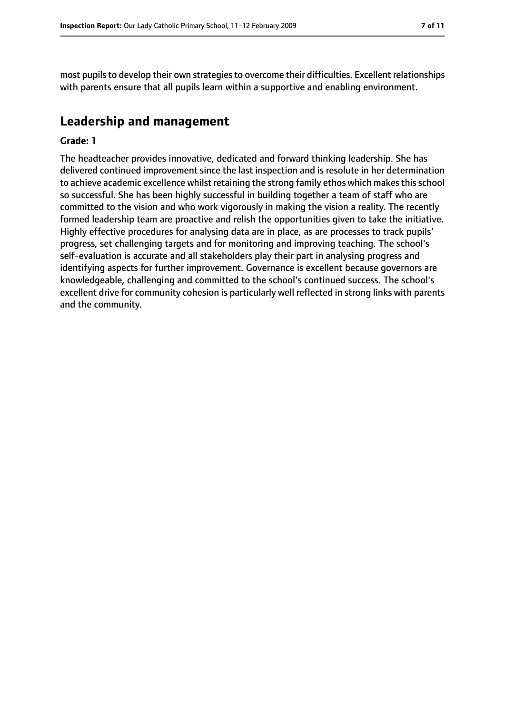most pupils to develop their own strategies to overcome their difficulties. Excellent relationships with parents ensure that all pupils learn within a supportive and enabling environment.

# **Leadership and management**

#### **Grade: 1**

The headteacher provides innovative, dedicated and forward thinking leadership. She has delivered continued improvement since the last inspection and is resolute in her determination to achieve academic excellence whilst retaining the strong family ethos which makes this school so successful. She has been highly successful in building together a team of staff who are committed to the vision and who work vigorously in making the vision a reality. The recently formed leadership team are proactive and relish the opportunities given to take the initiative. Highly effective procedures for analysing data are in place, as are processes to track pupils' progress, set challenging targets and for monitoring and improving teaching. The school's self-evaluation is accurate and all stakeholders play their part in analysing progress and identifying aspects for further improvement. Governance is excellent because governors are knowledgeable, challenging and committed to the school's continued success. The school's excellent drive for community cohesion is particularly well reflected in strong links with parents and the community.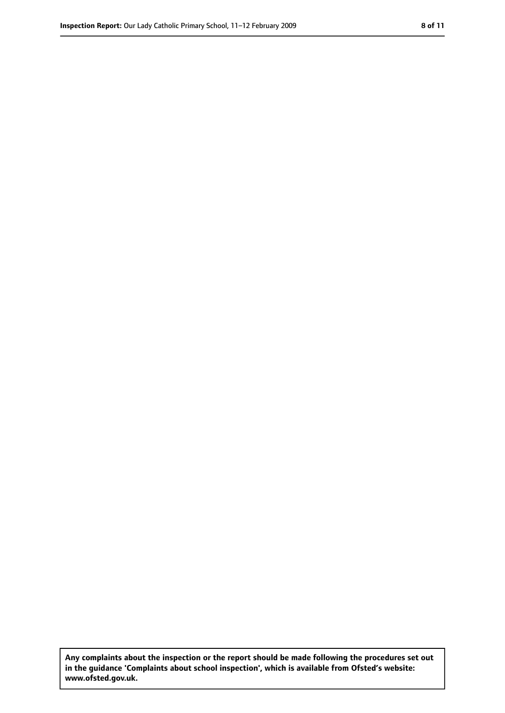**Any complaints about the inspection or the report should be made following the procedures set out in the guidance 'Complaints about school inspection', which is available from Ofsted's website: www.ofsted.gov.uk.**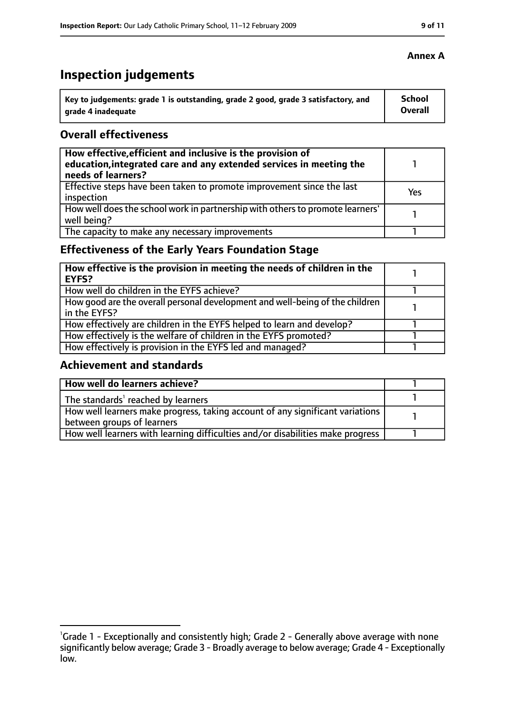# **Inspection judgements**

| Key to judgements: grade 1 is outstanding, grade 2 good, grade 3 satisfactory, and | <b>School</b>  |
|------------------------------------------------------------------------------------|----------------|
| arade 4 inadequate                                                                 | <b>Overall</b> |

## **Overall effectiveness**

| How effective, efficient and inclusive is the provision of<br>education, integrated care and any extended services in meeting the<br>needs of learners? |     |
|---------------------------------------------------------------------------------------------------------------------------------------------------------|-----|
| Effective steps have been taken to promote improvement since the last<br>inspection                                                                     | Yes |
| How well does the school work in partnership with others to promote learners'<br>well being?                                                            |     |
| The capacity to make any necessary improvements                                                                                                         |     |

# **Effectiveness of the Early Years Foundation Stage**

| How effective is the provision in meeting the needs of children in the<br>l EYFS?            |  |
|----------------------------------------------------------------------------------------------|--|
| How well do children in the EYFS achieve?                                                    |  |
| How good are the overall personal development and well-being of the children<br>in the EYFS? |  |
| How effectively are children in the EYFS helped to learn and develop?                        |  |
| How effectively is the welfare of children in the EYFS promoted?                             |  |
| How effectively is provision in the EYFS led and managed?                                    |  |

## **Achievement and standards**

| How well do learners achieve?                                                               |  |
|---------------------------------------------------------------------------------------------|--|
| $\vert$ The standards <sup>1</sup> reached by learners                                      |  |
| $\mid$ How well learners make progress, taking account of any significant variations $\mid$ |  |
| between groups of learners                                                                  |  |
| How well learners with learning difficulties and/or disabilities make progress              |  |

<sup>&</sup>lt;sup>1</sup>Grade 1 - Exceptionally and consistently high; Grade 2 - Generally above average with none significantly below average; Grade 3 - Broadly average to below average; Grade 4 - Exceptionally low.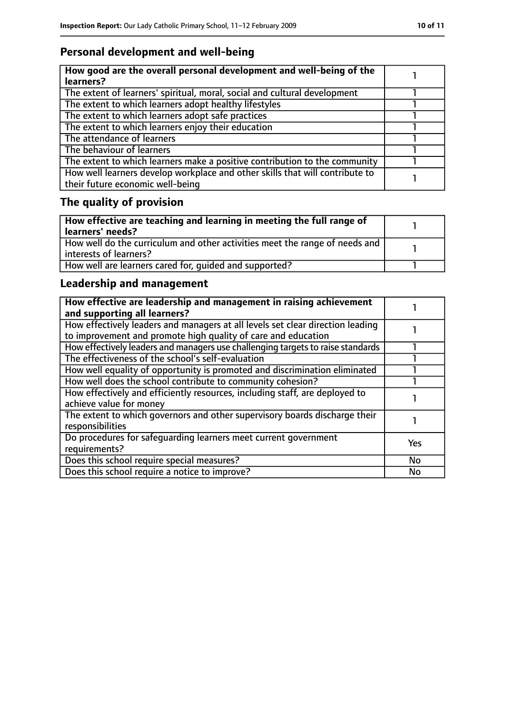# **Personal development and well-being**

| How good are the overall personal development and well-being of the<br>learners?                                 |  |
|------------------------------------------------------------------------------------------------------------------|--|
| The extent of learners' spiritual, moral, social and cultural development                                        |  |
| The extent to which learners adopt healthy lifestyles                                                            |  |
| The extent to which learners adopt safe practices                                                                |  |
| The extent to which learners enjoy their education                                                               |  |
| The attendance of learners                                                                                       |  |
| The behaviour of learners                                                                                        |  |
| The extent to which learners make a positive contribution to the community                                       |  |
| How well learners develop workplace and other skills that will contribute to<br>their future economic well-being |  |

# **The quality of provision**

| How effective are teaching and learning in meeting the full range of<br>learners' needs?              |  |
|-------------------------------------------------------------------------------------------------------|--|
| How well do the curriculum and other activities meet the range of needs and<br>interests of learners? |  |
| How well are learners cared for, quided and supported?                                                |  |

# **Leadership and management**

| How effective are leadership and management in raising achievement<br>and supporting all learners?                                              |            |
|-------------------------------------------------------------------------------------------------------------------------------------------------|------------|
| How effectively leaders and managers at all levels set clear direction leading<br>to improvement and promote high quality of care and education |            |
| How effectively leaders and managers use challenging targets to raise standards                                                                 |            |
| The effectiveness of the school's self-evaluation                                                                                               |            |
| How well equality of opportunity is promoted and discrimination eliminated                                                                      |            |
| How well does the school contribute to community cohesion?                                                                                      |            |
| How effectively and efficiently resources, including staff, are deployed to<br>achieve value for money                                          |            |
| The extent to which governors and other supervisory boards discharge their<br>responsibilities                                                  |            |
| Do procedures for safequarding learners meet current government<br>requirements?                                                                | <b>Yes</b> |
| Does this school require special measures?                                                                                                      | <b>No</b>  |
| Does this school require a notice to improve?                                                                                                   | No         |